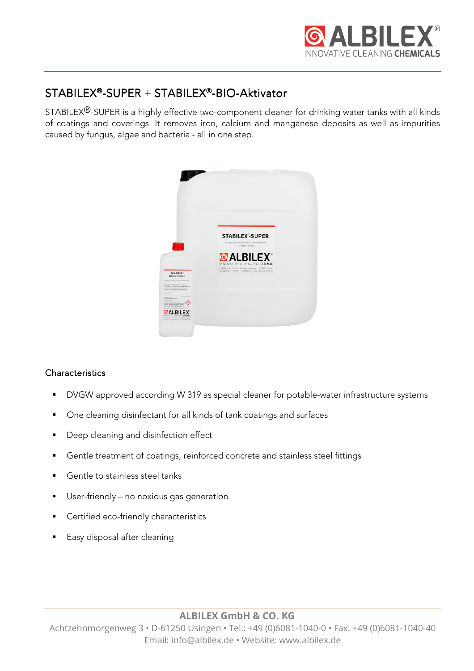

# $STABILITY<sup>®</sup>-SUPER + STABILITY<sup>®</sup>-BIO-Aktivator$

STABILEX®-SUPER is a highly effective two-component cleaner for drinking water tanks with all kinds of coatings and coverings. It removes iron, calcium and manganese deposits as well as impurities caused by fungus, algae and bacteria - all in one step.



# **Characteristics**

- **DVGW** approved according W 319 as special cleaner for potable-water infrastructure systems
- One cleaning disinfectant for all kinds of tank coatings and surfaces
- **Deep cleaning and disinfection effect**
- Gentle treatment of coatings, reinforced concrete and stainless steel fittings
- Gentle to stainless steel tanks
- User-friendly no noxious gas generation
- Certified eco-friendly characteristics
- Easy disposal after cleaning

# **ALBILEX GmbH & CO. KG**

Achtzehnmorgenweg 3 • D-61250 Usingen • Tel.: +49 (0)6081-1040-0 • Fax: +49 (0)6081-1040-40 Email: info@albilex.de • Website: www.albilex.de